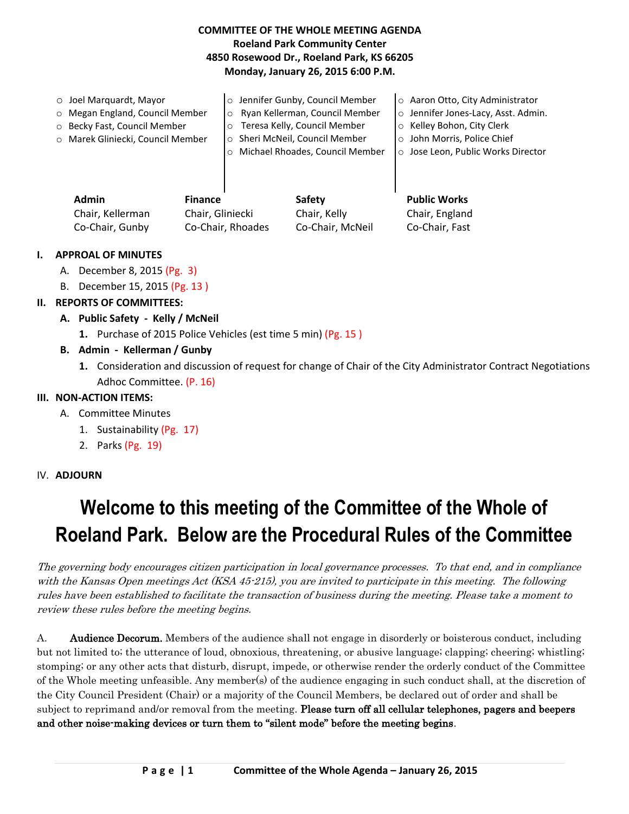## **COMMITTEE OF THE WHOLE MEETING AGENDA Roeland Park Community Center 4850 Rosewood Dr., Roeland Park, KS 66205 Monday, January 26, 2015 6:00 P.M.**

| $\circ$ Joel Marguardt, Mayor     | o Jennifer Gunby, Council Member           | ○ Aaron Otto, City Administrator    |
|-----------------------------------|--------------------------------------------|-------------------------------------|
| o Megan England, Council Member   | Ryan Kellerman, Council Member<br>$\circ$  | o Jennifer Jones-Lacy, Asst. Admin. |
| o Becky Fast, Council Member      | Teresa Kelly, Council Member<br>$\circ$    | ○ Kelley Bohon, City Clerk          |
| O Marek Gliniecki, Council Member | o Sheri McNeil, Council Member             | ○ John Morris, Police Chief         |
|                                   | Michael Rhoades, Council Member<br>$\circ$ | o Jose Leon, Public Works Director  |
|                                   |                                            |                                     |
|                                   |                                            |                                     |
| Admin<br><b>Finance</b>           | <b>Safety</b>                              | <b>Public Works</b>                 |

Chair, Kellerman Chair, Gliniecki Chair, Kelly Chair, England Co-Chair, Gunby Co-Chair, Rhoades Co-Chair, McNeil Co-Chair, Fast

### **I. APPROAL OF MINUTES**

- A. December 8, 2015 (Pg. 3)
- B. December 15, 2015 (Pg. 13 )

## **II. REPORTS OF COMMITTEES:**

- **A. Public Safety Kelly / McNeil**
	- **1.** Purchase of 2015 Police Vehicles (est time 5 min) (Pg. 15 )
- **B. Admin Kellerman / Gunby**
	- **1.** Consideration and discussion of request for change of Chair of the City Administrator Contract Negotiations Adhoc Committee. (P. 16)

#### **III. NON-ACTION ITEMS:**

- A. Committee Minutes
	- 1. Sustainability (Pg. 17)
	- 2. Parks (Pg. 19)

#### IV. **ADJOURN**

# **Welcome to this meeting of the Committee of the Whole of Roeland Park. Below are the Procedural Rules of the Committee**

The governing body encourages citizen participation in local governance processes. To that end, and in compliance with the Kansas Open meetings Act (KSA 45-215), you are invited to participate in this meeting. The following rules have been established to facilitate the transaction of business during the meeting. Please take a moment to review these rules before the meeting begins.

A. **Audience Decorum.** Members of the audience shall not engage in disorderly or boisterous conduct, including but not limited to; the utterance of loud, obnoxious, threatening, or abusive language; clapping; cheering; whistling; stomping; or any other acts that disturb, disrupt, impede, or otherwise render the orderly conduct of the Committee of the Whole meeting unfeasible. Any member(s) of the audience engaging in such conduct shall, at the discretion of the City Council President (Chair) or a majority of the Council Members, be declared out of order and shall be subject to reprimand and/or removal from the meeting. Please turn off all cellular telephones, pagers and beepers and other noise-making devices or turn them to "silent mode" before the meeting begins.